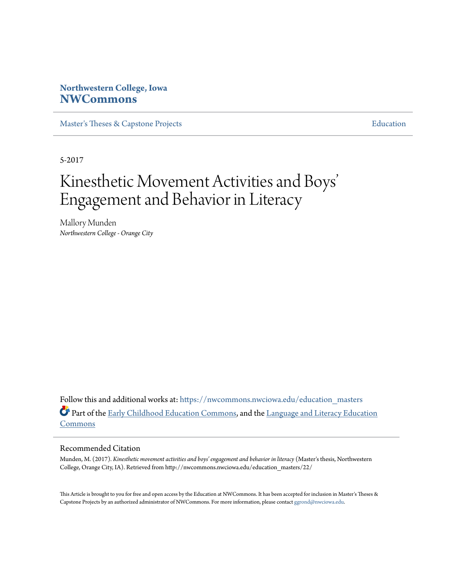## **Northwestern College, Iowa [NWCommons](https://nwcommons.nwciowa.edu?utm_source=nwcommons.nwciowa.edu%2Feducation_masters%2F22&utm_medium=PDF&utm_campaign=PDFCoverPages)**

[Master's Theses & Capstone Projects](https://nwcommons.nwciowa.edu/education_masters?utm_source=nwcommons.nwciowa.edu%2Feducation_masters%2F22&utm_medium=PDF&utm_campaign=PDFCoverPages) **[Education](https://nwcommons.nwciowa.edu/education?utm_source=nwcommons.nwciowa.edu%2Feducation_masters%2F22&utm_medium=PDF&utm_campaign=PDFCoverPages)** 

5-2017

# Kinesthetic Movement Activities and Boys ' Engagement and Behavior in Literacy

Mallory Munden *Northwestern College - Orange City*

Follow this and additional works at: [https://nwcommons.nwciowa.edu/education\\_masters](https://nwcommons.nwciowa.edu/education_masters?utm_source=nwcommons.nwciowa.edu%2Feducation_masters%2F22&utm_medium=PDF&utm_campaign=PDFCoverPages) Part of the [Early Childhood Education Commons,](http://network.bepress.com/hgg/discipline/1377?utm_source=nwcommons.nwciowa.edu%2Feducation_masters%2F22&utm_medium=PDF&utm_campaign=PDFCoverPages) and the [Language and Literacy Education](http://network.bepress.com/hgg/discipline/1380?utm_source=nwcommons.nwciowa.edu%2Feducation_masters%2F22&utm_medium=PDF&utm_campaign=PDFCoverPages) [Commons](http://network.bepress.com/hgg/discipline/1380?utm_source=nwcommons.nwciowa.edu%2Feducation_masters%2F22&utm_medium=PDF&utm_campaign=PDFCoverPages)

#### Recommended Citation

Munden, M. (2017). *Kinesthetic movement activities and boys' engagement and behavior in literacy* (Master's thesis, Northwestern College, Orange City, IA). Retrieved from http://nwcommons.nwciowa.edu/education\_masters/22/

This Article is brought to you for free and open access by the Education at NWCommons. It has been accepted for inclusion in Master's Theses & Capstone Projects by an authorized administrator of NWCommons. For more information, please contact [ggrond@nwciowa.edu.](mailto:ggrond@nwciowa.edu)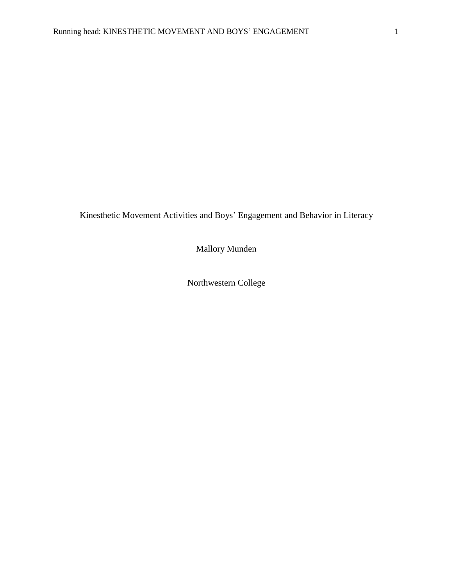Kinesthetic Movement Activities and Boys' Engagement and Behavior in Literacy

Mallory Munden

Northwestern College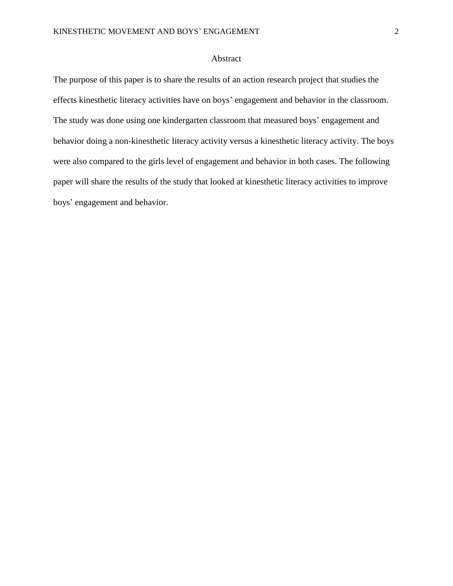## Abstract

The purpose of this paper is to share the results of an action research project that studies the effects kinesthetic literacy activities have on boys' engagement and behavior in the classroom. The study was done using one kindergarten classroom that measured boys' engagement and behavior doing a non-kinesthetic literacy activity versus a kinesthetic literacy activity. The boys were also compared to the girls level of engagement and behavior in both cases. The following paper will share the results of the study that looked at kinesthetic literacy activities to improve boys' engagement and behavior.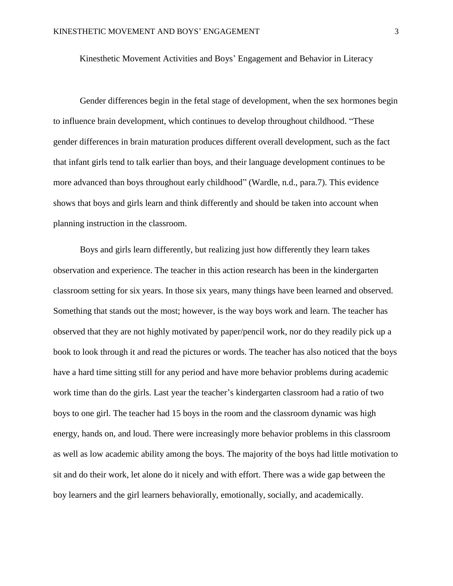Kinesthetic Movement Activities and Boys' Engagement and Behavior in Literacy

Gender differences begin in the fetal stage of development, when the sex hormones begin to influence brain development, which continues to develop throughout childhood. "These gender differences in brain maturation produces different overall development, such as the fact that infant girls tend to talk earlier than boys, and their language development continues to be more advanced than boys throughout early childhood" (Wardle, n.d., para.7). This evidence shows that boys and girls learn and think differently and should be taken into account when planning instruction in the classroom.

Boys and girls learn differently, but realizing just how differently they learn takes observation and experience. The teacher in this action research has been in the kindergarten classroom setting for six years. In those six years, many things have been learned and observed. Something that stands out the most; however, is the way boys work and learn. The teacher has observed that they are not highly motivated by paper/pencil work, nor do they readily pick up a book to look through it and read the pictures or words. The teacher has also noticed that the boys have a hard time sitting still for any period and have more behavior problems during academic work time than do the girls. Last year the teacher's kindergarten classroom had a ratio of two boys to one girl. The teacher had 15 boys in the room and the classroom dynamic was high energy, hands on, and loud. There were increasingly more behavior problems in this classroom as well as low academic ability among the boys. The majority of the boys had little motivation to sit and do their work, let alone do it nicely and with effort. There was a wide gap between the boy learners and the girl learners behaviorally, emotionally, socially, and academically.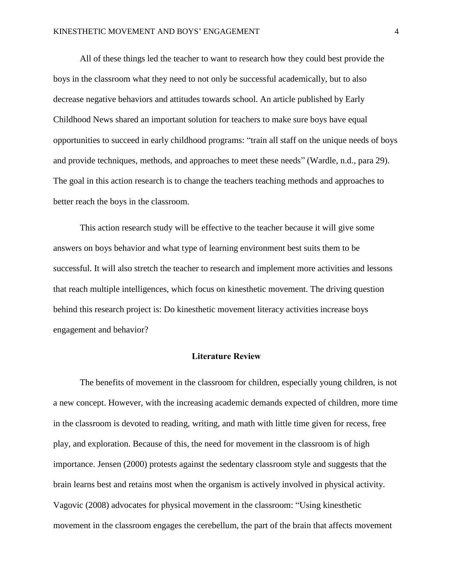All of these things led the teacher to want to research how they could best provide the boys in the classroom what they need to not only be successful academically, but to also decrease negative behaviors and attitudes towards school. An article published by Early Childhood News shared an important solution for teachers to make sure boys have equal opportunities to succeed in early childhood programs: "train all staff on the unique needs of boys and provide techniques, methods, and approaches to meet these needs" (Wardle, n.d., para 29). The goal in this action research is to change the teachers teaching methods and approaches to better reach the boys in the classroom.

This action research study will be effective to the teacher because it will give some answers on boys behavior and what type of learning environment best suits them to be successful. It will also stretch the teacher to research and implement more activities and lessons that reach multiple intelligences, which focus on kinesthetic movement. The driving question behind this research project is: Do kinesthetic movement literacy activities increase boys engagement and behavior?

### Literature Review

The benefits of movement in the classroom for children, especially young children, is not a new concept. However, with the increasing academic demands expected of children, more time in the classroom is devoted to reading, writing, and math with little time given for recess, free play, and exploration. Because of this, the need for movement in the classroom is of high importance. Jensen (2000) protests against the sedentary classroom style and suggests that the brain learns best and retains most when the organism is actively involved in physical activity. Vagovic (2008) advocates for physical movement in the classroom: "Using kinesthetic movement in the classroom engages the cerebellum, the part of the brain that affects movement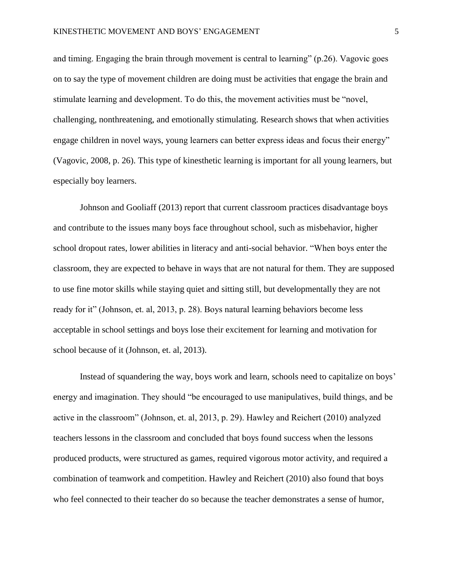and timing. Engaging the brain through movement is central to learning" (p.26). Vagovic goes on to say the type of movement children are doing must be activities that engage the brain and stimulate learning and development. To do this, the movement activities must be "novel, challenging, nonthreatening, and emotionally stimulating. Research shows that when activities engage children in novel ways, young learners can better express ideas and focus their energy" (Vagovic, 2008, p. 26). This type of kinesthetic learning is important for all young learners, but especially boy learners.

Johnson and Gooliaff (2013) report that current classroom practices disadvantage boys and contribute to the issues many boys face throughout school, such as misbehavior, higher school dropout rates, lower abilities in literacy and anti-social behavior. "When boys enter the classroom, they are expected to behave in ways that are not natural for them. They are supposed to use fine motor skills while staying quiet and sitting still, but developmentally they are not ready for it" (Johnson, et. al, 2013, p. 28). Boys natural learning behaviors become less acceptable in school settings and boys lose their excitement for learning and motivation for school because of it (Johnson, et. al, 2013).

Instead of squandering the way, boys work and learn, schools need to capitalize on boys' energy and imagination. They should "be encouraged to use manipulatives, build things, and be active in the classroom" (Johnson, et. al, 2013, p. 29). Hawley and Reichert (2010) analyzed teachers lessons in the classroom and concluded that boys found success when the lessons produced products, were structured as games, required vigorous motor activity, and required a combination of teamwork and competition. Hawley and Reichert (2010) also found that boys who feel connected to their teacher do so because the teacher demonstrates a sense of humor,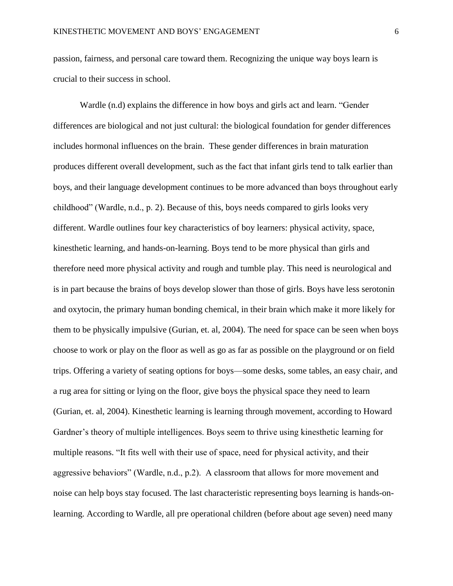passion, fairness, and personal care toward them. Recognizing the unique way boys learn is crucial to their success in school.

Wardle (n.d) explains the difference in how boys and girls act and learn. "Gender differences are biological and not just cultural: the biological foundation for gender differences includes hormonal influences on the brain. These gender differences in brain maturation produces different overall development, such as the fact that infant girls tend to talk earlier than boys, and their language development continues to be more advanced than boys throughout early childhood" (Wardle, n.d., p. 2). Because of this, boys needs compared to girls looks very different. Wardle outlines four key characteristics of boy learners: physical activity, space, kinesthetic learning, and hands-on-learning. Boys tend to be more physical than girls and therefore need more physical activity and rough and tumble play. This need is neurological and is in part because the brains of boys develop slower than those of girls. Boys have less serotonin and oxytocin, the primary human bonding chemical, in their brain which make it more likely for them to be physically impulsive (Gurian, et. al, 2004). The need for space can be seen when boys choose to work or play on the floor as well as go as far as possible on the playground or on field trips. Offering a variety of seating options for boys—some desks, some tables, an easy chair, and a rug area for sitting or lying on the floor, give boys the physical space they need to learn (Gurian, et. al, 2004). Kinesthetic learning is learning through movement, according to Howard Gardner's theory of multiple intelligences. Boys seem to thrive using kinesthetic learning for multiple reasons. "It fits well with their use of space, need for physical activity, and their aggressive behaviors" (Wardle, n.d., p.2). A classroom that allows for more movement and noise can help boys stay focused. The last characteristic representing boys learning is hands-onlearning. According to Wardle, all pre operational children (before about age seven) need many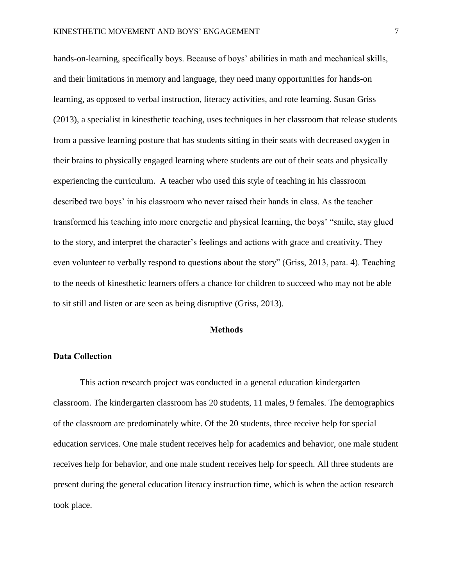hands-on-learning, specifically boys. Because of boys' abilities in math and mechanical skills, and their limitations in memory and language, they need many opportunities for hands-on learning, as opposed to verbal instruction, literacy activities, and rote learning. Susan Griss (2013), a specialist in kinesthetic teaching, uses techniques in her classroom that release students from a passive learning posture that has students sitting in their seats with decreased oxygen in their brains to physically engaged learning where students are out of their seats and physically experiencing the curriculum. A teacher who used this style of teaching in his classroom described two boys' in his classroom who never raised their hands in class. As the teacher transformed his teaching into more energetic and physical learning, the boys' "smile, stay glued to the story, and interpret the character's feelings and actions with grace and creativity. They even volunteer to verbally respond to questions about the story" (Griss, 2013, para. 4). Teaching to the needs of kinesthetic learners offers a chance for children to succeed who may not be able to sit still and listen or are seen as being disruptive (Griss, 2013).

## **Methods**

#### Data Collection

This action research project was conducted in a general education kindergarten classroom. The kindergarten classroom has 20 students, 11 males, 9 females. The demographics of the classroom are predominately white. Of the 20 students, three receive help for special education services. One male student receives help for academics and behavior, one male student receives help for behavior, and one male student receives help for speech. All three students are present during the general education literacy instruction time, which is when the action research took place.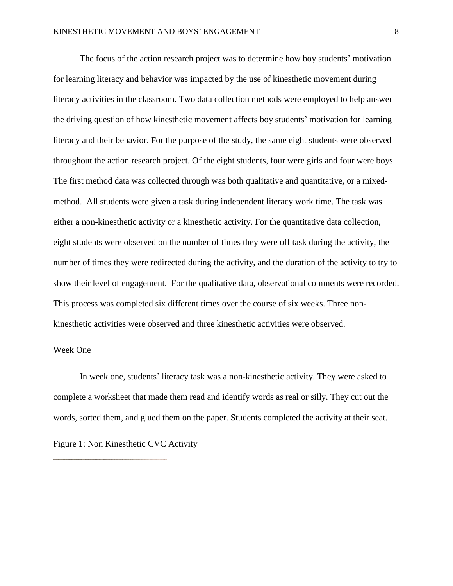The focus of the action research project was to determine how boy students' motivation for learning literacy and behavior was impacted by the use of kinesthetic movement during literacy activities in the classroom. Two data collection methods were employed to help answer the driving question of how kinesthetic movement affects boy students' motivation for learning literacy and their behavior. For the purpose of the study, the same eight students were observed throughout the action research project. Of the eight students, four were girls and four were boys. The first method data was collected through was both qualitative and quantitative, or a mixedmethod. All students were given a task during independent literacy work time. The task was either a non-kinesthetic activity or a kinesthetic activity. For the quantitative data collection, eight students were observed on the number of times they were off task during the activity, the number of times they were redirected during the activity, and the duration of the activity to try to show their level of engagement. For the qualitative data, observational comments were recorded. This process was completed six different times over the course of six weeks. Three nonkinesthetic activities were observed and three kinesthetic activities were observed.

#### Week One

In week one, students' literacy task was a non-kinesthetic activity. They were asked to complete a worksheet that made them read and identify words as real or silly. They cut out the words, sorted them, and glued them on the paper. Students completed the activity at their seat.

Figure 1: Non Kinesthetic CVC Activity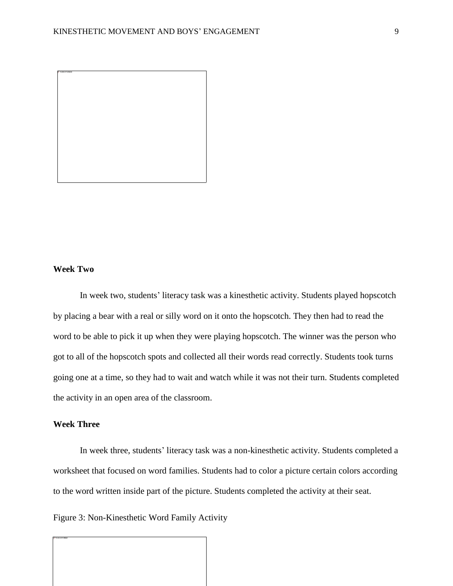

## **Week Two**

In week two, students' literacy task was a kinesthetic activity. Students played hopscotch by placing a bear with a real or silly word on it onto the hopscotch. They then had to read the word to be able to pick it up when they were playing hopscotch. The winner was the person who got to all of the hopscotch spots and collected all their words read correctly. Students took turns going one at a time, so they had to wait and watch while it was not their turn. Students completed the activity in an open area of the classroom.

## **Week Three**

In week three, students' literacy task was a non-kinesthetic activity. Students completed a worksheet that focused on word families. Students had to color a picture certain colors according to the word written inside part of the picture. Students completed the activity at their seat.

Figure 3: Non-Kinesthetic Word Family Activity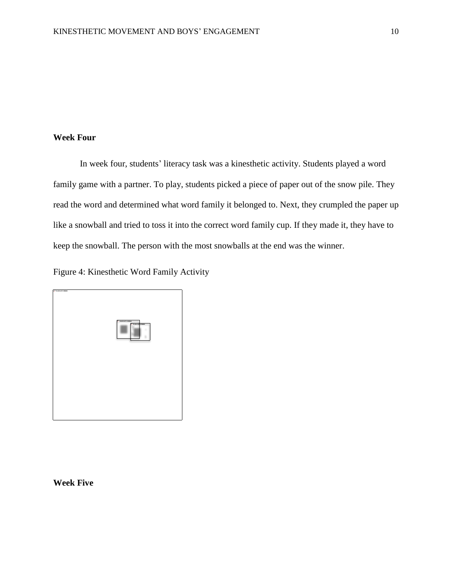## **Week Four**

In week four, students' literacy task was a kinesthetic activity. Students played a word family game with a partner. To play, students picked a piece of paper out of the snow pile. They read the word and determined what word family it belonged to. Next, they crumpled the paper up like a snowball and tried to toss it into the correct word family cup. If they made it, they have to keep the snowball. The person with the most snowballs at the end was the winner.

Figure 4: Kinesthetic Word Family Activity



**Week Five**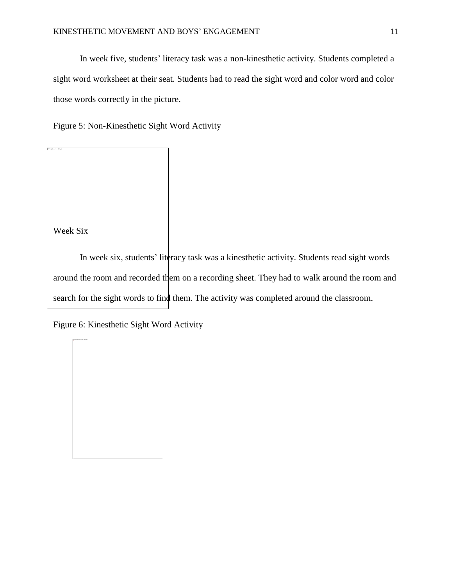In week five, students' literacy task was a non-kinesthetic activity. Students completed a sight word worksheet at their seat. Students had to read the sight word and color word and color those words correctly in the picture.

Figure 5: Non-Kinesthetic Sight Word Activity

Week Six

In week six, students' literacy task was a kinesthetic activity. Students read sight words around the room and recorded them on a recording sheet. They had to walk around the room and search for the sight words to find them. The activity was completed around the classroom.

Figure 6: Kinesthetic Sight Word Activity

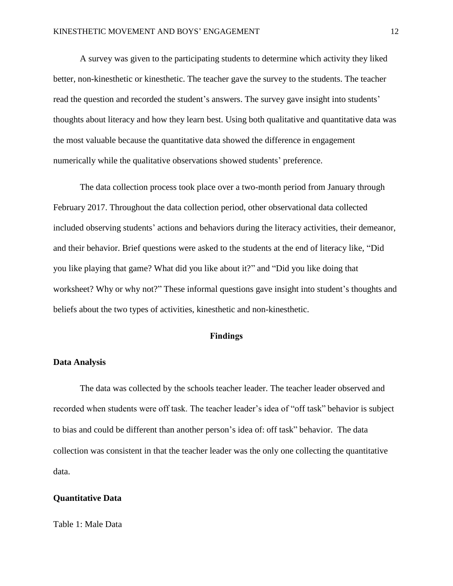A survey was given to the participating students to determine which activity they liked better, non-kinesthetic or kinesthetic. The teacher gave the survey to the students. The teacher read the question and recorded the student's answers. The survey gave insight into students' thoughts about literacy and how they learn best. Using both qualitative and quantitative data was the most valuable because the quantitative data showed the difference in engagement numerically while the qualitative observations showed students' preference.

The data collection process took place over a two-month period from January through February 2017. Throughout the data collection period, other observational data collected included observing students' actions and behaviors during the literacy activities, their demeanor, and their behavior. Brief questions were asked to the students at the end of literacy like, "Did you like playing that game? What did you like about it?" and "Did you like doing that worksheet? Why or why not?" These informal questions gave insight into student's thoughts and beliefs about the two types of activities, kinesthetic and non-kinesthetic.

#### Findings

#### **Data Analysis**

The data was collected by the schools teacher leader. The teacher leader observed and recorded when students were off task. The teacher leader's idea of "off task" behavior is subject to bias and could be different than another person's idea of: off task" behavior. The data collection was consistent in that the teacher leader was the only one collecting the quantitative data.

#### **Quantitative Data**

Table 1: Male Data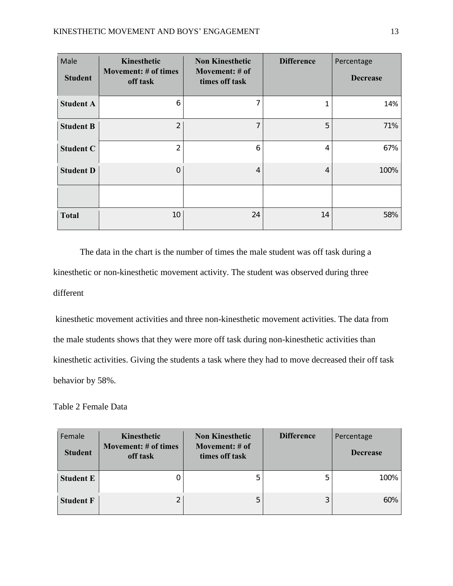| Male<br><b>Student</b> | Kinesthetic<br><b>Movement: # of times</b><br>off task | <b>Non Kinesthetic</b><br>Movement: # of<br>times off task | <b>Difference</b> | Percentage<br><b>Decrease</b> |
|------------------------|--------------------------------------------------------|------------------------------------------------------------|-------------------|-------------------------------|
| <b>Student A</b>       | 6                                                      | 7                                                          | 1                 | 14%                           |
| <b>Student B</b>       | $\overline{2}$                                         | 7                                                          | 5                 | 71%                           |
| <b>Student C</b>       | $\overline{2}$                                         | 6                                                          | 4                 | 67%                           |
| <b>Student D</b>       | 0                                                      | 4                                                          | 4                 | 100%                          |
|                        |                                                        |                                                            |                   |                               |
| <b>Total</b>           | 10                                                     | 24                                                         | 14                | 58%                           |

The data in the chart is the number of times the male student was off task during a kinesthetic or non-kinesthetic movement activity. The student was observed during three different

kinesthetic movement activities and three non-kinesthetic movement activities. The data from the male students shows that they were more off task during non-kinesthetic activities than kinesthetic activities. Giving the students a task where they had to move decreased their off task behavior by 58%.

Table 2 Female Data

| Female<br><b>Student</b> | Kinesthetic<br><b>Movement: # of times</b><br>off task | <b>Non Kinesthetic</b><br>Movement: # of<br>times off task | <b>Difference</b> | Percentage<br><b>Decrease</b> |
|--------------------------|--------------------------------------------------------|------------------------------------------------------------|-------------------|-------------------------------|
| <b>Student E</b>         |                                                        | 5                                                          |                   | 100%                          |
| <b>Student F</b>         | $\overline{2}$                                         | 5                                                          | 3                 | 60%                           |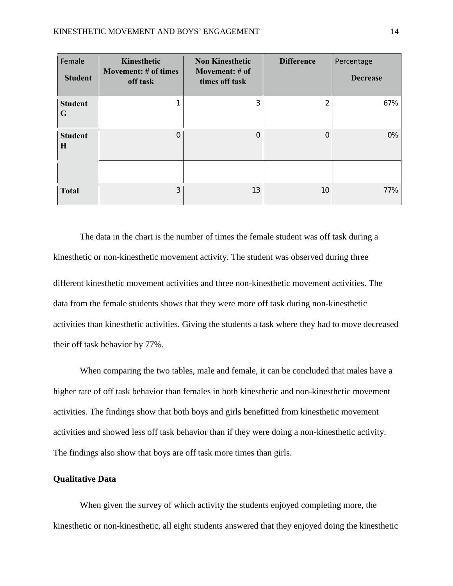| Female<br><b>Student</b> | Kinesthetic<br>Movement: # of times<br>off task | <b>Non Kinesthetic</b><br>Movement: # of<br>times off task | <b>Difference</b> | Percentage<br><b>Decrease</b> |
|--------------------------|-------------------------------------------------|------------------------------------------------------------|-------------------|-------------------------------|
| <b>Student</b><br>G      |                                                 | 3                                                          | $\overline{2}$    | 67%                           |
| <b>Student</b><br>H      | 0                                               | $\circ$                                                    | $\overline{O}$    | 0%                            |
|                          |                                                 |                                                            |                   |                               |
| <b>Total</b>             | 3                                               | 13                                                         | 10                | 77%                           |

The data in the chart is the number of times the female student was off task during a kinesthetic or non-kinesthetic movement activity. The student was observed during three different kinesthetic movement activities and three non-kinesthetic movement activities. The data from the female students shows that they were more off task during non-kinesthetic activities than kinesthetic activities. Giving the students a task where they had to move decreased their off task behavior by 77%.

When comparing the two tables, male and female, it can be concluded that males have a higher rate of off task behavior than females in both kinesthetic and non-kinesthetic movement activities. The findings show that both boys and girls benefitted from kinesthetic movement activities and showed less off task behavior than if they were doing a non-kinesthetic activity. The findings also show that boys are off task more times than girls.

#### **Qualitative Data**

When given the survey of which activity the students enjoyed completing more, the kinesthetic or non-kinesthetic, all eight students answered that they enjoyed doing the kinesthetic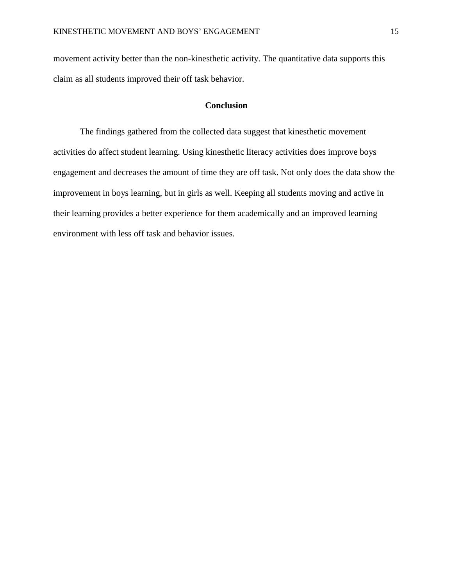movement activity better than the non-kinesthetic activity. The quantitative data supports this claim as all students improved their off task behavior.

## **Conclusion**

The findings gathered from the collected data suggest that kinesthetic movement activities do affect student learning. Using kinesthetic literacy activities does improve boys engagement and decreases the amount of time they are off task. Not only does the data show the improvement in boys learning, but in girls as well. Keeping all students moving and active in their learning provides a better experience for them academically and an improved learning environment with less off task and behavior issues.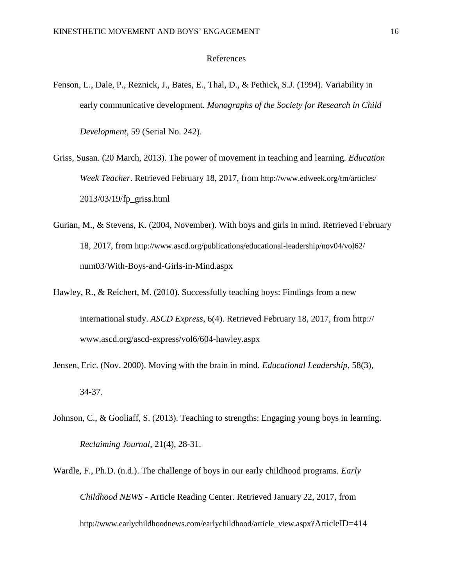#### References

- Fenson, L., Dale, P., Reznick, J., Bates, E., Thal, D., & Pethick, S.J. (1994). Variability in early communicative development. *Monographs of the Society for Research in Child Development*, 59 (Serial No. 242).
- Griss, Susan. (20 March, 2013). The power of movement in teaching and learning. *Education Week Teacher*. Retrieved February 18, 2017, from <http://www.edweek.org/tm/articles/> 2013/03/19/fp\_griss.html
- Gurian, M., & Stevens, K. (2004, November). With boys and girls in mind. Retrieved February 18, 2017, from <http://www.ascd.org/publications/educational-leadership/nov04/vol62/> num03/With-Boys-and-Girls-in-Mind.aspx
- Hawley, R., & Reichert, M. (2010). Successfully teaching boys: Findings from a new international study. *ASCD Express*, 6(4). Retrieved February 18, 2017, from http:// www.ascd.org/ascd-express/vol6/604-hawley.aspx
- Jensen, Eric. (Nov. 2000). Moving with the brain in mind. *Educational Leadership*, 58(3), 34-37.
- Johnson, C., & Gooliaff, S. (2013). Teaching to strengths: Engaging young boys in learning. *Reclaiming Journal*, 21(4), 28-31.
- Wardle, F., Ph.D. (n.d.). The challenge of boys in our early childhood programs. *Early Childhood NEWS* - Article Reading Center. Retrieved January 22, 2017, from [http://www.earlychildhoodnews.com/earlychildhood/article\\_view.aspx?](http://www.earlychildhoodnews.com/earlychildhood/article_view.aspx?)ArticleID=414